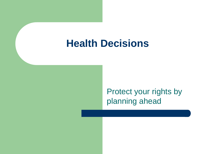# **Health Decisions**

Protect your rights by planning ahead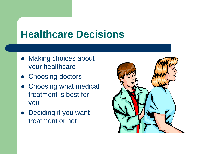# **Healthcare Decisions**

- Making choices about your healthcare
- Choosing doctors
- Choosing what medical treatment is best for you
- Deciding if you want treatment or not

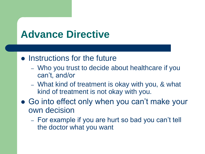# **Advance Directive**

#### • Instructions for the future

- Who you trust to decide about healthcare if you can't, and/or
- What kind of treatment is okay with you, & what kind of treatment is not okay with you.
- Go into effect only when you can't make your own decision
	- For example if you are hurt so bad you can't tell the doctor what you want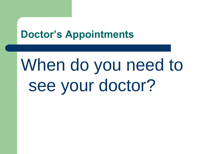# **Doctor's Appointments**

# When do you need to see your doctor?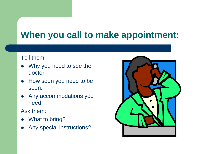# **When you call to make appointment:**

#### Tell them:

- Why you need to see the doctor.
- How soon you need to be seen.
- Any accommodations you need.

Ask them:

- What to bring?
- Any special instructions?

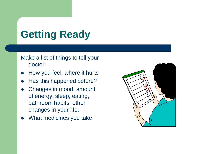# **Getting Ready**

#### Make a list of things to tell your doctor:

- How you feel, where it hurts
- Has this happened before?
- Changes in mood, amount of energy, sleep, eating, bathroom habits, other changes in your life.
- What medicines you take.

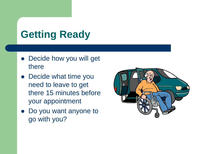# **Getting Ready**

- Decide how you will get there
- Decide what time you need to leave to get there 15 minutes before your appointment
- Do you want anyone to go with you?

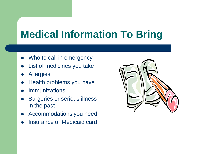# **Medical Information To Bring**

- Who to call in emergency
- List of medicines you take
- **Allergies**
- Health problems you have
- **Immunizations**
- Surgeries or serious illness in the past
- Accommodations you need
- Insurance or Medicaid card

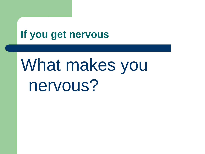# **If you get nervous**

# What makes you nervous?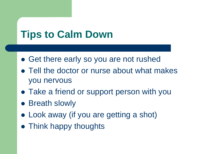# **Tips to Calm Down**

- Get there early so you are not rushed
- Tell the doctor or nurse about what makes you nervous
- Take a friend or support person with you
- Breath slowly
- Look away (if you are getting a shot)
- Think happy thoughts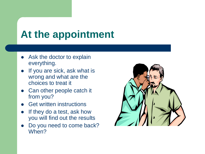# **At the appointment**

- Ask the doctor to explain everything.
- If you are sick, ask what is wrong and what are the choices to treat it
- Can other people catch it from you?
- Get written instructions
- If they do a test, ask how you will find out the results
- Do you need to come back? When?

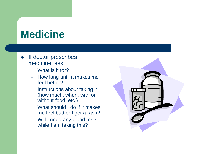# **Medicine**

- If doctor prescribes medicine, ask
	- What is it for?
	- How long until it makes me feel better?
	- Instructions about taking it (how much, when, with or without food, etc.)
	- What should I do if it makes me feel bad or I get a rash?
	- Will I need any blood tests while I am taking this?

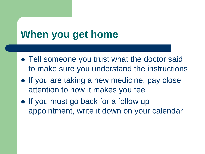# **When you get home**

- Tell someone you trust what the doctor said to make sure you understand the instructions
- If you are taking a new medicine, pay close attention to how it makes you feel
- If you must go back for a follow up appointment, write it down on your calendar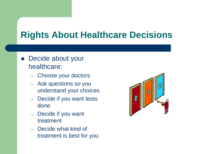- Decide about your healthcare:
	- Choose your doctors
	- Ask questions so you understand your choices
	- Decide if you want tests done
	- Decide if you want treatment
	- Decide what kind of treatment is best for you

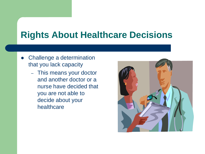- Challenge a determination that you lack capacity
	- This means your doctor and another doctor or a nurse have decided that you are not able to decide about your healthcare

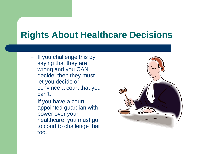- If you challenge this by saying that they are wrong and you CAN decide, then they must let you decide or convince a court that you can't.
- If you have a court appointed guardian with power over your healthcare, you must go to court to challenge that too.

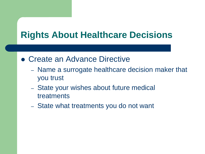- Create an Advance Directive
	- Name a surrogate healthcare decision maker that you trust
	- State your wishes about future medical treatments
	- State what treatments you do not want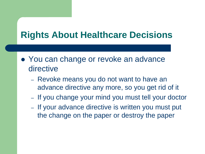- You can change or revoke an advance directive
	- Revoke means you do not want to have an advance directive any more, so you get rid of it
	- If you change your mind you must tell your doctor
	- If your advance directive is written you must put the change on the paper or destroy the paper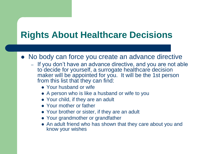- No body can force you create an advance directive
	- If you don't have an advance directive, and you are not able to decide for yourself, a surrogate healthcare decision maker will be appointed for you. It will be the 1st person from this list that they can find:
		- Your husband or wife
		- A person who is like a husband or wife to you
		- Your child, if they are an adult
		- Your mother or father
		- Your brother or sister, if they are an adult
		- Your grandmother or grandfather
		- An adult friend who has shown that they care about you and know your wishes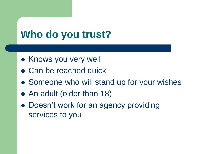# **Who do you trust?**

- Knows you very well
- Can be reached quick
- Someone who will stand up for your wishes
- An adult (older than 18)
- Doesn't work for an agency providing services to you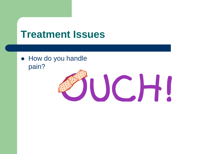• How do you handle pain?

# JUCHI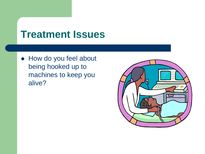How do you feel about being hooked up to machines to keep you alive?

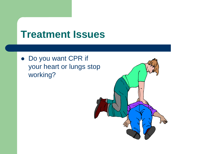Do you want CPR if your heart or lungs stop working?

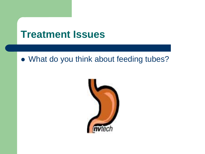#### What do you think about feeding tubes?

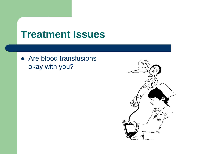• Are blood transfusions okay with you?